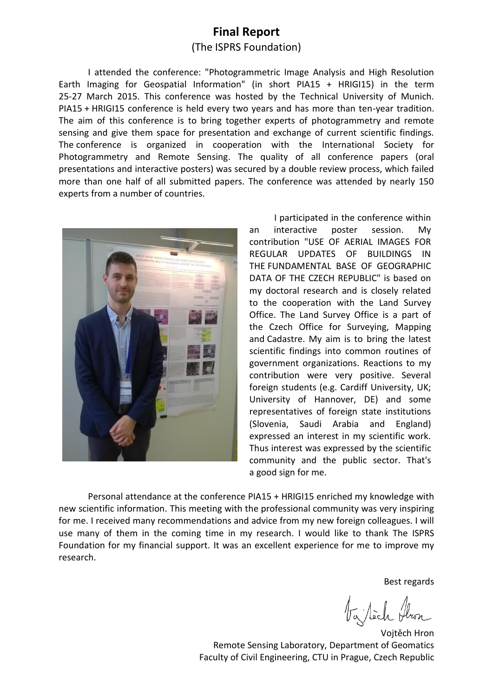## **Final Report**

(The ISPRS Foundation)

I attended the conference: "Photogrammetric Image Analysis and High Resolution Earth Imaging for Geospatial Information" (in short PIA15 + HRIGI15) in the term 25-27 March 2015. This conference was hosted by the Technical University of Munich. PIA15 + HRIGI15 conference is held every two years and has more than ten-year tradition. The aim of this conference is to bring together experts of photogrammetry and remote sensing and give them space for presentation and exchange of current scientific findings. The conference is organized in cooperation with the International Society for Photogrammetry and Remote Sensing. The quality of all conference papers (oral presentations and interactive posters) was secured by a double review process, which failed more than one half of all submitted papers. The conference was attended by nearly 150 experts from a number of countries.



 I participated in the conference within an interactive poster session. My contribution "USE OF AERIAL IMAGES FOR REGULAR UPDATES OF BUILDINGS IN THE FUNDAMENTAL BASE OF GEOGRAPHIC DATA OF THE CZECH REPUBLIC" is based on my doctoral research and is closely related to the cooperation with the Land Survey Office. The Land Survey Office is a part of the Czech Office for Surveying, Mapping and Cadastre. My aim is to bring the latest scientific findings into common routines of government organizations. Reactions to my contribution were very positive. Several foreign students (e.g. Cardiff University, UK; University of Hannover, DE) and some representatives of foreign state institutions (Slovenia, Saudi Arabia and England) expressed an interest in my scientific work. Thus interest was expressed by the scientific community and the public sector. That's a good sign for me.

Personal attendance at the conference PIA15 + HRIGI15 enriched my knowledge with new scientific information. This meeting with the professional community was very inspiring for me. I received many recommendations and advice from my new foreign colleagues. I will use many of them in the coming time in my research. I would like to thank The ISPRS Foundation for my financial support. It was an excellent experience for me to improve my research.

Best regards

Va Sich Ar

Vojtěch Hron Remote Sensing Laboratory, Department of Geomatics Faculty of Civil Engineering, CTU in Prague, Czech Republic